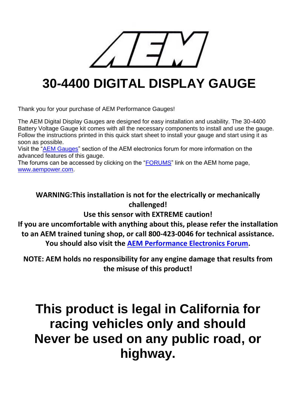# **30-4400 DIGITAL DISPLAY GAUGE**

Thank you for your purchase of AEM Performance Gauges!

The AEM Digital Display Gauges are designed for easy installation and usability. The 30-4400 Battery Voltage Gauge kit comes with all the necessary components to install and use the gauge. Follow the instructions printed in this quick start sheet to install your gauge and start using it as soon as possible.

Visit the ["AEM Gauges"](http://aemelectronics.com/?q=forums/aem-gauges) section of the AEM electronics forum for more information on the advanced features of this gauge.

The forums can be accessed by clicking on the ["FORUMS"](http://aemelectronics.com/forum) link on the AEM home page, [www.aempower.com.](http://www.aempower.com/)

### **WARNING:This installation is not for the electrically or mechanically challenged!**

**Use this sensor with EXTREME caution!** 

**If you are uncomfortable with anything about this, please refer the installation to an AEM trained tuning shop, or call 800-423-0046 for technical assistance. You should also visit the [AEM Performance Electronics Forum.](http://aemelectronics.com/forum)** 

**NOTE: AEM holds no responsibility for any engine damage that results from the misuse of this product!**

## **This product is legal in California for racing vehicles only and should Never be used on any public road, or highway.**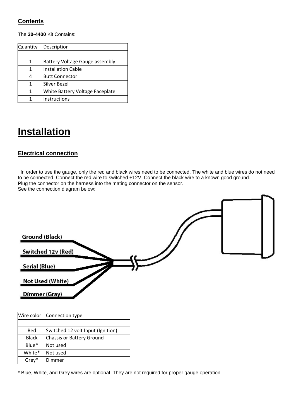### **Contents**

The **30-4400** Kit Contains:

| Quantity | Description                           |
|----------|---------------------------------------|
|          |                                       |
| 1        | <b>Battery Voltage Gauge assembly</b> |
| 1        | <b>Installation Cable</b>             |
|          | <b>Butt Connector</b>                 |
|          | Silver Bezel                          |
| 1        | White Battery Voltage Faceplate       |
|          | Instructions                          |

## **Installation**

### **Electrical connection**

In order to use the gauge, only the red and black wires need to be connected. The white and blue wires do not need to be connected. Connect the red wire to switched +12V. Connect the black wire to a known good ground. Plug the connector on the harness into the mating connector on the sensor. See the connection diagram below:



| Wire color   | Connection type                   |
|--------------|-----------------------------------|
|              |                                   |
| Red          | Switched 12 volt Input (Ignition) |
| <b>Black</b> | Chassis or Battery Ground         |
| Blue*        | Not used                          |
| White*       | Not used                          |
| Grey*        | Dimmer                            |

\* Blue, White, and Grey wires are optional. They are not required for proper gauge operation.